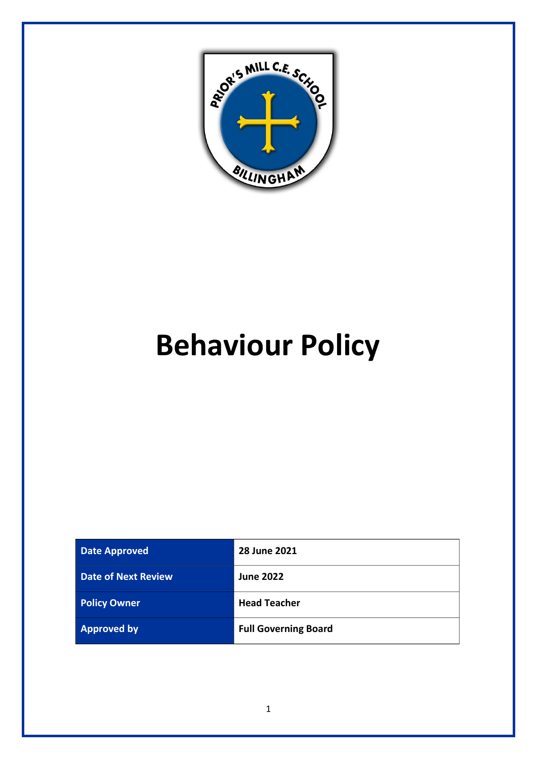

# **Behaviour Policy**

| <b>Date Approved</b>       | 28 June 2021                |
|----------------------------|-----------------------------|
| <b>Date of Next Review</b> | <b>June 2022</b>            |
| <b>Policy Owner</b>        | <b>Head Teacher</b>         |
| <b>Approved by</b>         | <b>Full Governing Board</b> |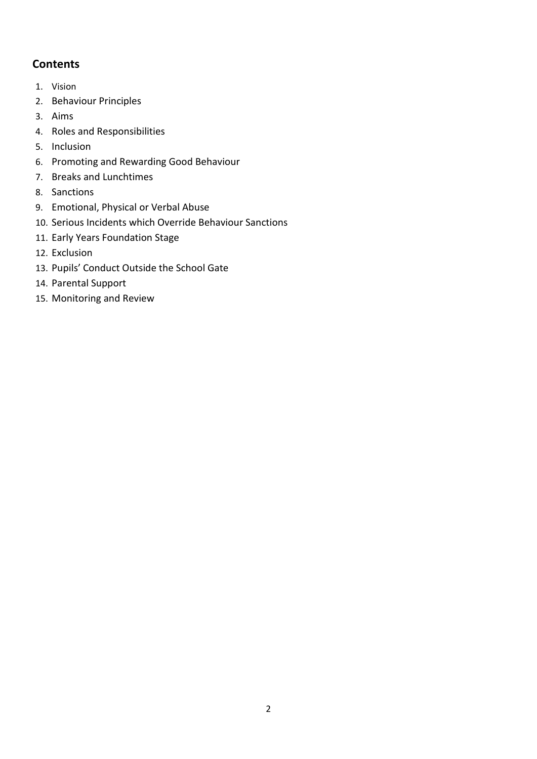# **Contents**

- 1. Vision
- 2. Behaviour Principles
- 3. Aims
- 4. Roles and Responsibilities
- 5. Inclusion
- 6. Promoting and Rewarding Good Behaviour
- 7. Breaks and Lunchtimes
- 8. Sanctions
- 9. Emotional, Physical or Verbal Abuse
- 10. Serious Incidents which Override Behaviour Sanctions
- 11. Early Years Foundation Stage
- 12. Exclusion
- 13. Pupils' Conduct Outside the School Gate
- 14. Parental Support
- 15. Monitoring and Review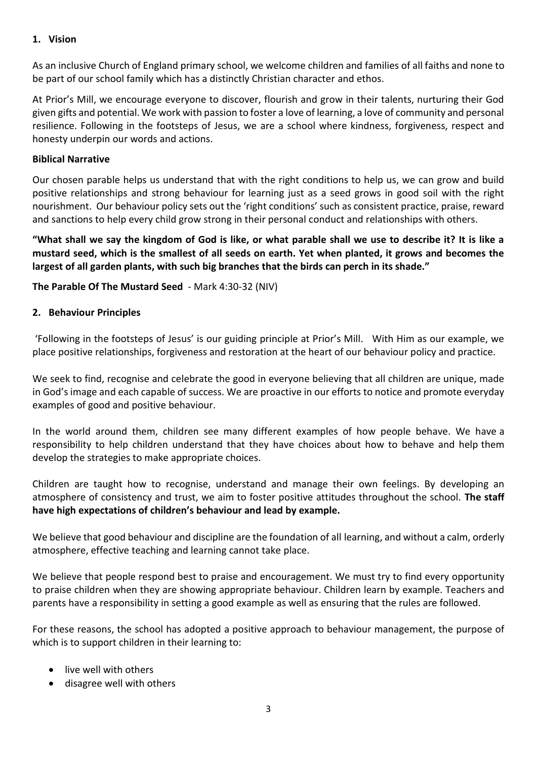#### **1. Vision**

As an inclusive Church of England primary school, we welcome children and families of all faiths and none to be part of our school family which has a distinctly Christian character and ethos.

At Prior's Mill, we encourage everyone to discover, flourish and grow in their talents, nurturing their God given gifts and potential. We work with passion to foster a love of learning, a love of community and personal resilience. Following in the footsteps of Jesus, we are a school where kindness, forgiveness, respect and honesty underpin our words and actions.

#### **Biblical Narrative**

Our chosen parable helps us understand that with the right conditions to help us, we can grow and build positive relationships and strong behaviour for learning just as a seed grows in good soil with the right nourishment. Our behaviour policy sets out the 'right conditions' such as consistent practice, praise, reward and sanctions to help every child grow strong in their personal conduct and relationships with others.

**"What shall we say the kingdom of God is like, or what parable shall we use to describe it? It is like a mustard seed, which is the smallest of all seeds on earth. Yet when planted, it grows and becomes the largest of all garden plants, with such big branches that the birds can perch in its shade."**

**The Parable Of The Mustard Seed** - Mark 4:30-32 (NIV)

#### **2. Behaviour Principles**

'Following in the footsteps of Jesus' is our guiding principle at Prior's Mill. With Him as our example, we place positive relationships, forgiveness and restoration at the heart of our behaviour policy and practice.

We seek to find, recognise and celebrate the good in everyone believing that all children are unique, made in God's image and each capable of success. We are proactive in our efforts to notice and promote everyday examples of good and positive behaviour.

In the world around them, children see many different examples of how people behave. We have a responsibility to help children understand that they have choices about how to behave and help them develop the strategies to make appropriate choices.

Children are taught how to recognise, understand and manage their own feelings. By developing an atmosphere of consistency and trust, we aim to foster positive attitudes throughout the school. **The staff have high expectations of children's behaviour and lead by example.**

We believe that good behaviour and discipline are the foundation of all learning, and without a calm, orderly atmosphere, effective teaching and learning cannot take place.

We believe that people respond best to praise and encouragement. We must try to find every opportunity to praise children when they are showing appropriate behaviour. Children learn by example. Teachers and parents have a responsibility in setting a good example as well as ensuring that the rules are followed.

For these reasons, the school has adopted a positive approach to behaviour management, the purpose of which is to support children in their learning to:

- live well with others
- disagree well with others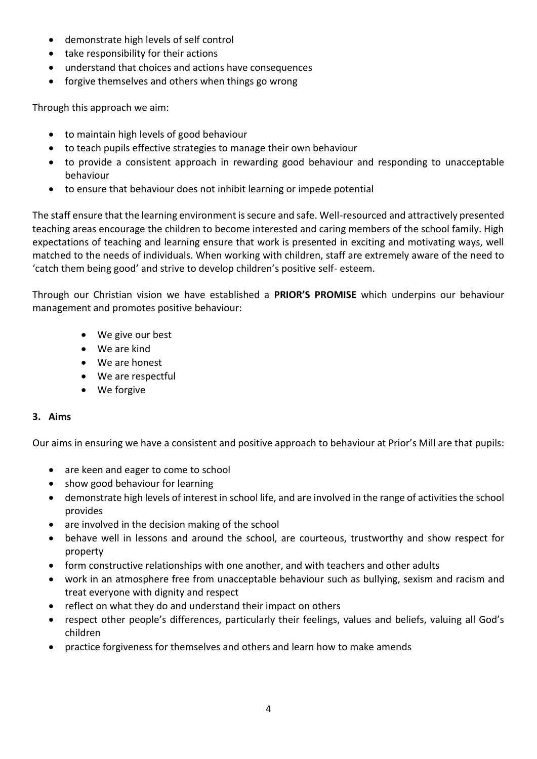- demonstrate high levels of self control
- take responsibility for their actions
- understand that choices and actions have consequences
- forgive themselves and others when things go wrong

Through this approach we aim:

- to maintain high levels of good behaviour
- to teach pupils effective strategies to manage their own behaviour
- to provide a consistent approach in rewarding good behaviour and responding to unacceptable behaviour
- to ensure that behaviour does not inhibit learning or impede potential

The staff ensure that the learning environment is secure and safe. Well-resourced and attractively presented teaching areas encourage the children to become interested and caring members of the school family. High expectations of teaching and learning ensure that work is presented in exciting and motivating ways, well matched to the needs of individuals. When working with children, staff are extremely aware of the need to 'catch them being good' and strive to develop children's positive self- esteem.

Through our Christian vision we have established a **PRIOR'S PROMISE** which underpins our behaviour management and promotes positive behaviour:

- We give our best
- We are kind
- We are honest
- We are respectful
- We forgive

# **3. Aims**

Our aims in ensuring we have a consistent and positive approach to behaviour at Prior's Mill are that pupils:

- are keen and eager to come to school
- show good behaviour for learning
- demonstrate high levels of interest in school life, and are involved in the range of activities the school provides
- are involved in the decision making of the school
- behave well in lessons and around the school, are courteous, trustworthy and show respect for property
- form constructive relationships with one another, and with teachers and other adults
- work in an atmosphere free from unacceptable behaviour such as bullying, sexism and racism and treat everyone with dignity and respect
- reflect on what they do and understand their impact on others
- respect other people's differences, particularly their feelings, values and beliefs, valuing all God's children
- practice forgiveness for themselves and others and learn how to make amends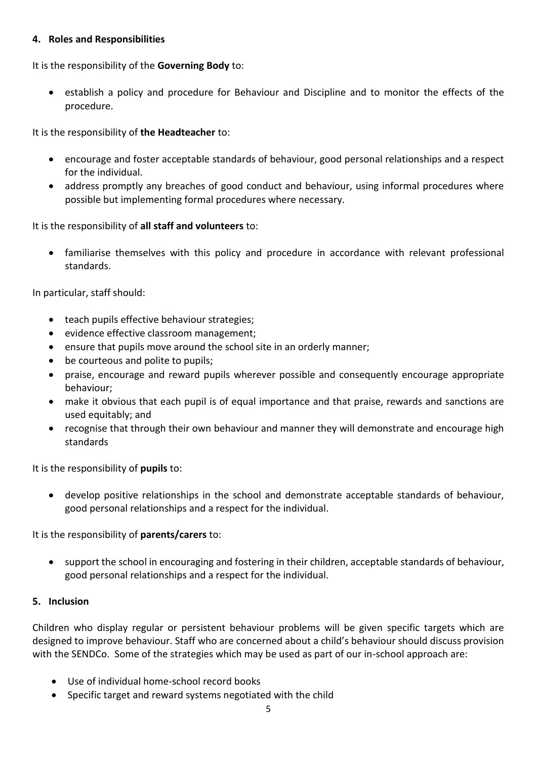#### **4. Roles and Responsibilities**

It is the responsibility of the **Governing Body** to:

• establish a policy and procedure for Behaviour and Discipline and to monitor the effects of the procedure.

It is the responsibility of **the Headteacher** to:

- encourage and foster acceptable standards of behaviour, good personal relationships and a respect for the individual.
- address promptly any breaches of good conduct and behaviour, using informal procedures where possible but implementing formal procedures where necessary.

It is the responsibility of **all staff and volunteers** to:

• familiarise themselves with this policy and procedure in accordance with relevant professional standards.

In particular, staff should:

- teach pupils effective behaviour strategies;
- evidence effective classroom management;
- ensure that pupils move around the school site in an orderly manner;
- be courteous and polite to pupils;
- praise, encourage and reward pupils wherever possible and consequently encourage appropriate behaviour;
- make it obvious that each pupil is of equal importance and that praise, rewards and sanctions are used equitably; and
- recognise that through their own behaviour and manner they will demonstrate and encourage high standards

It is the responsibility of **pupils** to:

• develop positive relationships in the school and demonstrate acceptable standards of behaviour, good personal relationships and a respect for the individual.

It is the responsibility of **parents/carers** to:

• support the school in encouraging and fostering in their children, acceptable standards of behaviour, good personal relationships and a respect for the individual.

#### **5. Inclusion**

Children who display regular or persistent behaviour problems will be given specific targets which are designed to improve behaviour. Staff who are concerned about a child's behaviour should discuss provision with the SENDCo. Some of the strategies which may be used as part of our in-school approach are:

- Use of individual home-school record books
- Specific target and reward systems negotiated with the child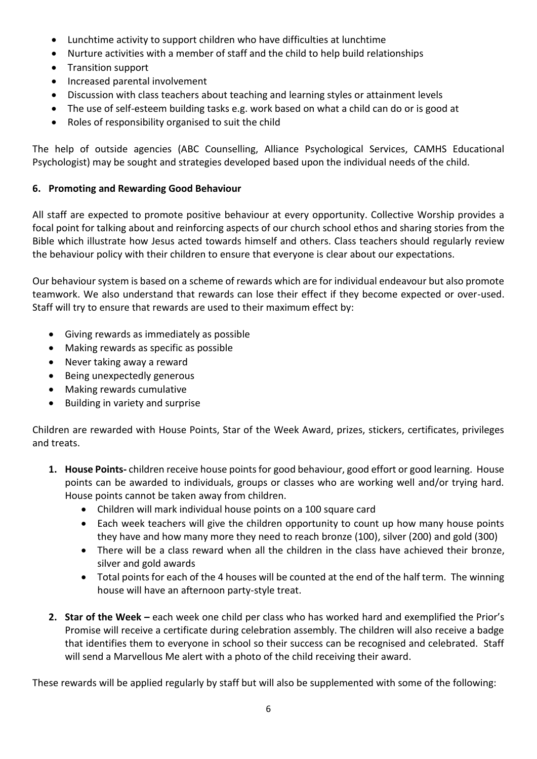- Lunchtime activity to support children who have difficulties at lunchtime
- Nurture activities with a member of staff and the child to help build relationships
- Transition support
- Increased parental involvement
- Discussion with class teachers about teaching and learning styles or attainment levels
- The use of self-esteem building tasks e.g. work based on what a child can do or is good at
- Roles of responsibility organised to suit the child

The help of outside agencies (ABC Counselling, Alliance Psychological Services, CAMHS Educational Psychologist) may be sought and strategies developed based upon the individual needs of the child.

# **6. Promoting and Rewarding Good Behaviour**

All staff are expected to promote positive behaviour at every opportunity. Collective Worship provides a focal point for talking about and reinforcing aspects of our church school ethos and sharing stories from the Bible which illustrate how Jesus acted towards himself and others. Class teachers should regularly review the behaviour policy with their children to ensure that everyone is clear about our expectations.

Our behaviour system is based on a scheme of rewards which are for individual endeavour but also promote teamwork. We also understand that rewards can lose their effect if they become expected or over-used. Staff will try to ensure that rewards are used to their maximum effect by:

- Giving rewards as immediately as possible
- Making rewards as specific as possible
- Never taking away a reward
- Being unexpectedly generous
- Making rewards cumulative
- Building in variety and surprise

Children are rewarded with House Points, Star of the Week Award, prizes, stickers, certificates, privileges and treats.

- **1. House Points-** children receive house points for good behaviour, good effort or good learning. House points can be awarded to individuals, groups or classes who are working well and/or trying hard. House points cannot be taken away from children.
	- Children will mark individual house points on a 100 square card
	- Each week teachers will give the children opportunity to count up how many house points they have and how many more they need to reach bronze (100), silver (200) and gold (300)
	- There will be a class reward when all the children in the class have achieved their bronze, silver and gold awards
	- Total points for each of the 4 houses will be counted at the end of the half term. The winning house will have an afternoon party-style treat.
- **2. Star of the Week –** each week one child per class who has worked hard and exemplified the Prior's Promise will receive a certificate during celebration assembly. The children will also receive a badge that identifies them to everyone in school so their success can be recognised and celebrated. Staff will send a Marvellous Me alert with a photo of the child receiving their award.

These rewards will be applied regularly by staff but will also be supplemented with some of the following: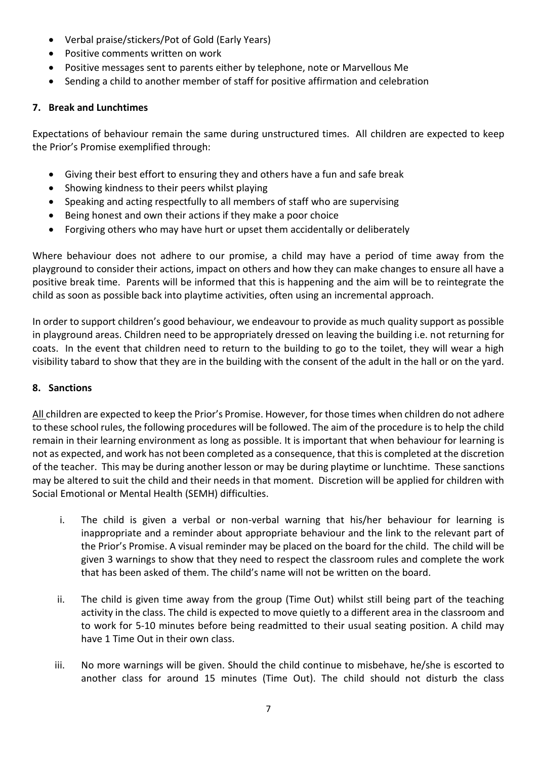- Verbal praise/stickers/Pot of Gold (Early Years)
- Positive comments written on work
- Positive messages sent to parents either by telephone, note or Marvellous Me
- Sending a child to another member of staff for positive affirmation and celebration

# **7. Break and Lunchtimes**

Expectations of behaviour remain the same during unstructured times. All children are expected to keep the Prior's Promise exemplified through:

- Giving their best effort to ensuring they and others have a fun and safe break
- Showing kindness to their peers whilst playing
- Speaking and acting respectfully to all members of staff who are supervising
- Being honest and own their actions if they make a poor choice
- Forgiving others who may have hurt or upset them accidentally or deliberately

Where behaviour does not adhere to our promise, a child may have a period of time away from the playground to consider their actions, impact on others and how they can make changes to ensure all have a positive break time. Parents will be informed that this is happening and the aim will be to reintegrate the child as soon as possible back into playtime activities, often using an incremental approach.

In order to support children's good behaviour, we endeavour to provide as much quality support as possible in playground areas. Children need to be appropriately dressed on leaving the building i.e. not returning for coats. In the event that children need to return to the building to go to the toilet, they will wear a high visibility tabard to show that they are in the building with the consent of the adult in the hall or on the yard.

# **8. Sanctions**

All children are expected to keep the Prior's Promise. However, for those times when children do not adhere to these school rules, the following procedures will be followed. The aim of the procedure is to help the child remain in their learning environment as long as possible. It is important that when behaviour for learning is not as expected, and work has not been completed as a consequence, that this is completed at the discretion of the teacher. This may be during another lesson or may be during playtime or lunchtime. These sanctions may be altered to suit the child and their needs in that moment. Discretion will be applied for children with Social Emotional or Mental Health (SEMH) difficulties.

- i. The child is given a verbal or non-verbal warning that his/her behaviour for learning is inappropriate and a reminder about appropriate behaviour and the link to the relevant part of the Prior's Promise. A visual reminder may be placed on the board for the child. The child will be given 3 warnings to show that they need to respect the classroom rules and complete the work that has been asked of them. The child's name will not be written on the board.
- ii. The child is given time away from the group (Time Out) whilst still being part of the teaching activity in the class. The child is expected to move quietly to a different area in the classroom and to work for 5-10 minutes before being readmitted to their usual seating position. A child may have 1 Time Out in their own class.
- iii. No more warnings will be given. Should the child continue to misbehave, he/she is escorted to another class for around 15 minutes (Time Out). The child should not disturb the class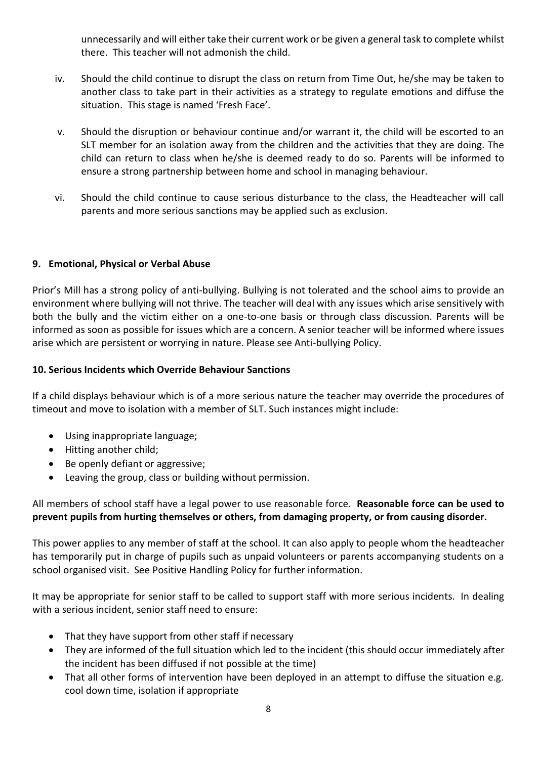unnecessarily and will either take their current work or be given a general task to complete whilst there. This teacher will not admonish the child.

- iv. Should the child continue to disrupt the class on return from Time Out, he/she may be taken to another class to take part in their activities as a strategy to regulate emotions and diffuse the situation. This stage is named 'Fresh Face'.
- v. Should the disruption or behaviour continue and/or warrant it, the child will be escorted to an SLT member for an isolation away from the children and the activities that they are doing. The child can return to class when he/she is deemed ready to do so. Parents will be informed to ensure a strong partnership between home and school in managing behaviour.
- vi. Should the child continue to cause serious disturbance to the class, the Headteacher will call parents and more serious sanctions may be applied such as exclusion.

# **9. Emotional, Physical or Verbal Abuse**

Prior's Mill has a strong policy of anti-bullying. Bullying is not tolerated and the school aims to provide an environment where bullying will not thrive. The teacher will deal with any issues which arise sensitively with both the bully and the victim either on a one-to-one basis or through class discussion. Parents will be informed as soon as possible for issues which are a concern. A senior teacher will be informed where issues arise which are persistent or worrying in nature. Please see Anti-bullying Policy.

# **10. Serious Incidents which Override Behaviour Sanctions**

If a child displays behaviour which is of a more serious nature the teacher may override the procedures of timeout and move to isolation with a member of SLT. Such instances might include:

- Using inappropriate language;
- Hitting another child;
- Be openly defiant or aggressive;
- Leaving the group, class or building without permission.

# All members of school staff have a legal power to use reasonable force. **Reasonable force can be used to prevent pupils from hurting themselves or others, from damaging property, or from causing disorder.**

This power applies to any member of staff at the school. It can also apply to people whom the headteacher has temporarily put in charge of pupils such as unpaid volunteers or parents accompanying students on a school organised visit. See Positive Handling Policy for further information.

It may be appropriate for senior staff to be called to support staff with more serious incidents. In dealing with a serious incident, senior staff need to ensure:

- That they have support from other staff if necessary
- They are informed of the full situation which led to the incident (this should occur immediately after the incident has been diffused if not possible at the time)
- That all other forms of intervention have been deployed in an attempt to diffuse the situation e.g. cool down time, isolation if appropriate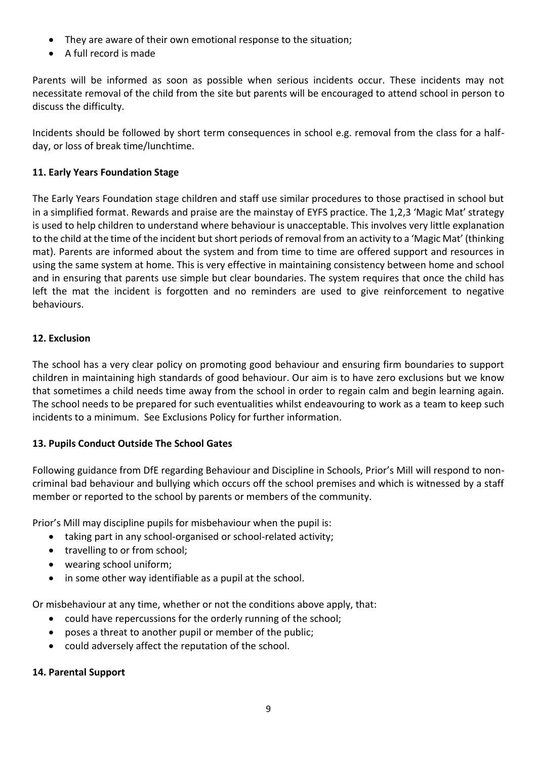- They are aware of their own emotional response to the situation;
- A full record is made

Parents will be informed as soon as possible when serious incidents occur. These incidents may not necessitate removal of the child from the site but parents will be encouraged to attend school in person to discuss the difficulty.

Incidents should be followed by short term consequences in school e.g. removal from the class for a halfday, or loss of break time/lunchtime.

# **11. Early Years Foundation Stage**

The Early Years Foundation stage children and staff use similar procedures to those practised in school but in a simplified format. Rewards and praise are the mainstay of EYFS practice. The 1,2,3 'Magic Mat' strategy is used to help children to understand where behaviour is unacceptable. This involves very little explanation to the child at the time of the incident but short periods of removal from an activity to a 'Magic Mat' (thinking mat). Parents are informed about the system and from time to time are offered support and resources in using the same system at home. This is very effective in maintaining consistency between home and school and in ensuring that parents use simple but clear boundaries. The system requires that once the child has left the mat the incident is forgotten and no reminders are used to give reinforcement to negative behaviours.

# **12. Exclusion**

The school has a very clear policy on promoting good behaviour and ensuring firm boundaries to support children in maintaining high standards of good behaviour. Our aim is to have zero exclusions but we know that sometimes a child needs time away from the school in order to regain calm and begin learning again. The school needs to be prepared for such eventualities whilst endeavouring to work as a team to keep such incidents to a minimum. See Exclusions Policy for further information.

# **13. Pupils Conduct Outside The School Gates**

Following guidance from DfE regarding Behaviour and Discipline in Schools, Prior's Mill will respond to noncriminal bad behaviour and bullying which occurs off the school premises and which is witnessed by a staff member or reported to the school by parents or members of the community.

Prior's Mill may discipline pupils for misbehaviour when the pupil is:

- taking part in any school-organised or school-related activity;
- travelling to or from school;
- wearing school uniform;
- in some other way identifiable as a pupil at the school.

Or misbehaviour at any time, whether or not the conditions above apply, that:

- could have repercussions for the orderly running of the school;
- poses a threat to another pupil or member of the public;
- could adversely affect the reputation of the school.

# **14. Parental Support**